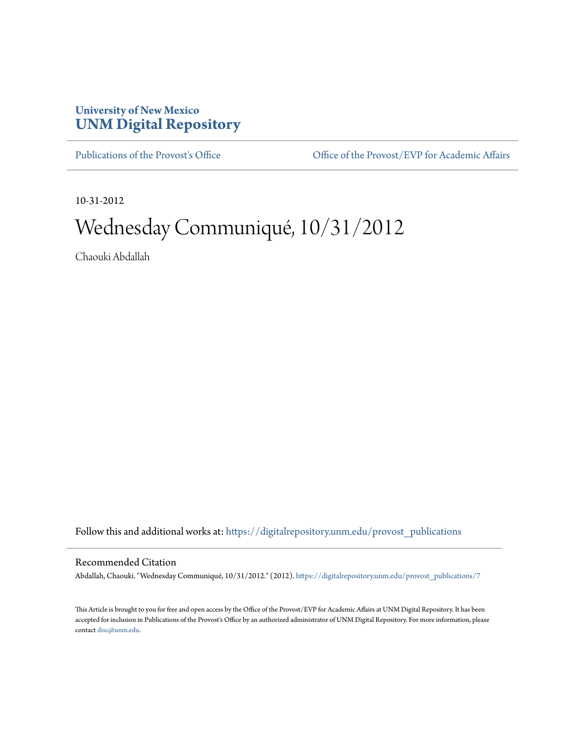## **University of New Mexico [UNM Digital Repository](https://digitalrepository.unm.edu?utm_source=digitalrepository.unm.edu%2Fprovost_publications%2F7&utm_medium=PDF&utm_campaign=PDFCoverPages)**

[Publications of the Provost's Office](https://digitalrepository.unm.edu/provost_publications?utm_source=digitalrepository.unm.edu%2Fprovost_publications%2F7&utm_medium=PDF&utm_campaign=PDFCoverPages) Office [Office of the Provost/EVP for Academic Affairs](https://digitalrepository.unm.edu/ofc_provost?utm_source=digitalrepository.unm.edu%2Fprovost_publications%2F7&utm_medium=PDF&utm_campaign=PDFCoverPages)

10-31-2012

# Wednesday Communiqué, 10/31/2012

Chaouki Abdallah

Follow this and additional works at: [https://digitalrepository.unm.edu/provost\\_publications](https://digitalrepository.unm.edu/provost_publications?utm_source=digitalrepository.unm.edu%2Fprovost_publications%2F7&utm_medium=PDF&utm_campaign=PDFCoverPages)

## Recommended Citation

Abdallah, Chaouki. "Wednesday Communiqué, 10/31/2012." (2012). [https://digitalrepository.unm.edu/provost\\_publications/7](https://digitalrepository.unm.edu/provost_publications/7?utm_source=digitalrepository.unm.edu%2Fprovost_publications%2F7&utm_medium=PDF&utm_campaign=PDFCoverPages)

This Article is brought to you for free and open access by the Office of the Provost/EVP for Academic Affairs at UNM Digital Repository. It has been accepted for inclusion in Publications of the Provost's Office by an authorized administrator of UNM Digital Repository. For more information, please contact [disc@unm.edu.](mailto:disc@unm.edu)